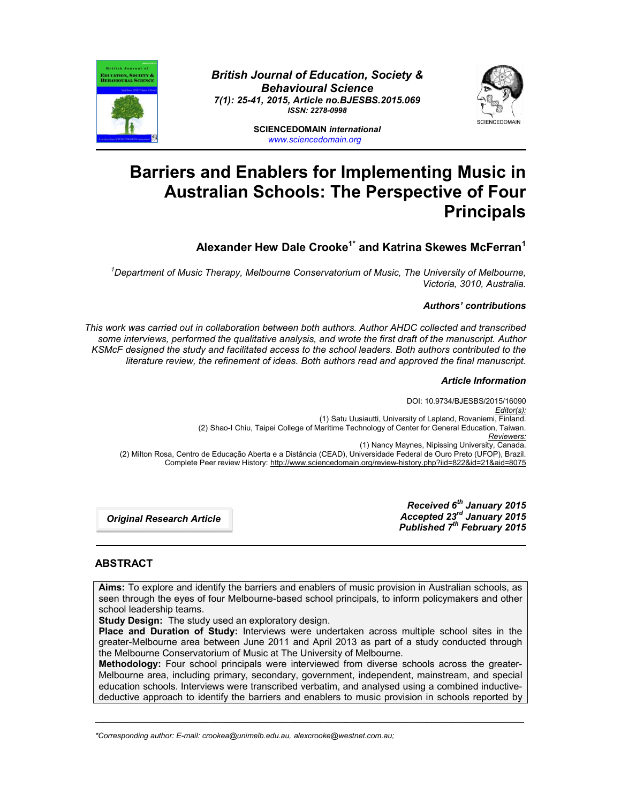

*British Journal of Education, Society & Behavioural Science 7(1): 25-41, 2015, Article no.BJESBS.2015.069 ISSN: 2278-0998*



**SCIENCEDOMAIN** *international www.sciencedomain.org*

# **Barriers and Enablers for Implementing Music in Australian Schools: The Perspective of Four Principals**

**Alexander Hew Dale Crooke1\* and Katrina Skewes McFerran<sup>1</sup>**

*1 Department of Music Therapy, Melbourne Conservatorium of Music, The University of Melbourne, Victoria, 3010, Australia.*

# *Authors' contributions*

*This work was carried out in collaboration between both authors. Author AHDC collected and transcribed some interviews, performed the qualitative analysis, and wrote the first draft of the manuscript. Author KSMcF designed the study and facilitated access to the school leaders. Both authors contributed to the literature review, the refinement of ideas. Both authors read and approved the final manuscript.*

# *Article Information*

DOI: 10.9734/BJESBS/2015/16090 *Editor(s):* (1) Satu Uusiautti, University of Lapland, Rovaniemi, Finland. (2) Shao-I Chiu, Taipei College of Maritime Technology of Center for General Education, Taiwan. *Reviewers:* (1) Nancy Maynes, Nipissing University, Canada. (2) Milton Rosa, Centro de Educação Aberta e a Distância (CEAD), Universidade Federal de Ouro Preto (UFOP), Brazil. Complete Peer review History: http://www.sciencedomain.org/review-history.php?iid=822&id=21&aid=8075

*Original Research Article*

*Received 6th January 2015 Accepted 23rd January 2015 Published 7th February 2015*

# **ABSTRACT**

**Aims:** To explore and identify the barriers and enablers of music provision in Australian schools, as seen through the eyes of four Melbourne-based school principals, to inform policymakers and other school leadership teams.

**Study Design:** The study used an exploratory design.

**Place and Duration of Study:** Interviews were undertaken across multiple school sites in the greater-Melbourne area between June 2011 and April 2013 as part of a study conducted through the Melbourne Conservatorium of Music at The University of Melbourne.

**Methodology:** Four school principals were interviewed from diverse schools across the greater-Melbourne area, including primary, secondary, government, independent, mainstream, and special education schools. Interviews were transcribed verbatim, and analysed using a combined inductivedeductive approach to identify the barriers and enablers to music provision in schools reported by

\_\_\_\_\_\_\_\_\_\_\_\_\_\_\_\_\_\_\_\_\_\_\_\_\_\_\_\_\_\_\_\_\_\_\_\_\_\_\_\_\_\_\_\_\_\_\_\_\_\_\_\_\_\_\_\_\_\_\_\_\_\_\_\_\_\_\_\_\_\_\_\_\_\_\_\_\_\_\_\_\_\_\_\_\_\_\_\_\_\_\_\_\_\_\_\_\_\_\_\_\_

*\*Corresponding author: E-mail: crookea@unimelb.edu.au, alexcrooke@westnet.com.au;*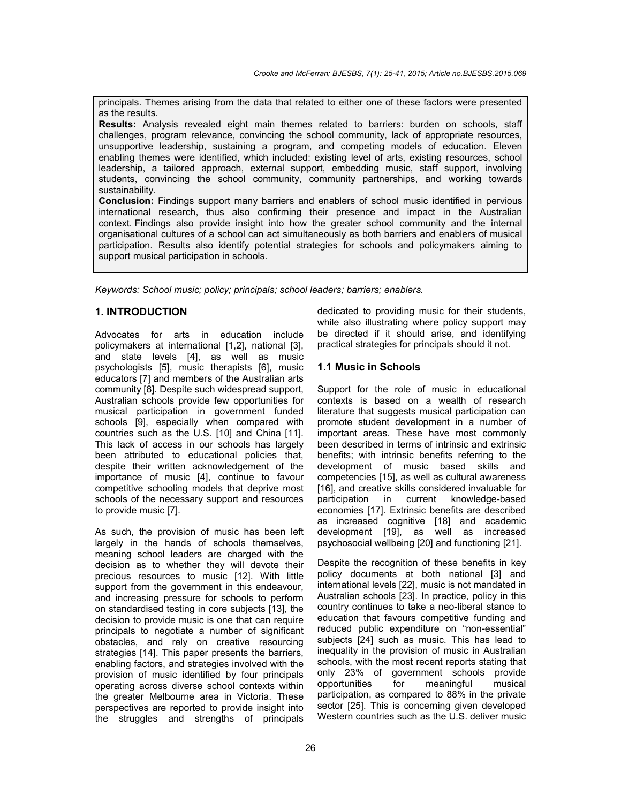principals. Themes arising from the data that related to either one of these factors were presented as the results.

**Results:** Analysis revealed eight main themes related to barriers: burden on schools, staff challenges, program relevance, convincing the school community, lack of appropriate resources, unsupportive leadership, sustaining a program, and competing models of education. Eleven enabling themes were identified, which included: existing level of arts, existing resources, school leadership, a tailored approach, external support, embedding music, staff support, involving students, convincing the school community, community partnerships, and working towards sustainability.

**Conclusion:** Findings support many barriers and enablers of school music identified in pervious international research, thus also confirming their presence and impact in the Australian context. Findings also provide insight into how the greater school community and the internal organisational cultures of a school can act simultaneously as both barriers and enablers of musical participation. Results also identify potential strategies for schools and policymakers aiming to support musical participation in schools.

*Keywords: School music; policy; principals; school leaders; barriers; enablers.*

# **1. INTRODUCTION**

Advocates for arts in education include policymakers at international [1,2], national [3], and state levels [4], as well as music psychologists [5], music therapists [6], music educators [7] and members of the Australian arts community [8]. Despite such widespread support, Australian schools provide few opportunities for musical participation in government funded schools [9], especially when compared with countries such as the U.S. [10] and China [11]. This lack of access in our schools has largely been attributed to educational policies that, despite their written acknowledgement of the importance of music [4], continue to favour competitive schooling models that deprive most schools of the necessary support and resources to provide music [7].

As such, the provision of music has been left largely in the hands of schools themselves, meaning school leaders are charged with the decision as to whether they will devote their precious resources to music [12]. With little support from the government in this endeavour, and increasing pressure for schools to perform on standardised testing in core subjects [13], the decision to provide music is one that can require principals to negotiate a number of significant obstacles, and rely on creative resourcing strategies [14]. This paper presents the barriers, enabling factors, and strategies involved with the provision of music identified by four principals operating across diverse school contexts within the greater Melbourne area in Victoria. These perspectives are reported to provide insight into the struggles and strengths of principals

dedicated to providing music for their students, while also illustrating where policy support may be directed if it should arise, and identifying practical strategies for principals should it not.

## **1.1 Music in Schools**

Support for the role of music in educational contexts is based on a wealth of research literature that suggests musical participation can promote student development in a number of important areas. These have most commonly been described in terms of intrinsic and extrinsic benefits; with intrinsic benefits referring to the development of music based skills and competencies [15], as well as cultural awareness [16], and creative skills considered invaluable for participation in current knowledge-based economies [17]. Extrinsic benefits are described as increased cognitive [18] and academic development [19], as well as increased psychosocial wellbeing [20] and functioning [21].

Despite the recognition of these benefits in key policy documents at both national [3] and international levels [22], music is not mandated in Australian schools [23]. In practice, policy in this country continues to take a neo-liberal stance to education that favours competitive funding and reduced public expenditure on "non-essential" subjects [24] such as music. This has lead to inequality in the provision of music in Australian schools, with the most recent reports stating that only 23% of government schools provide<br>opportunities for meaningful musical opportunities for meaningful musical participation, as compared to 88% in the private sector [25]. This is concerning given developed Western countries such as the U.S. deliver music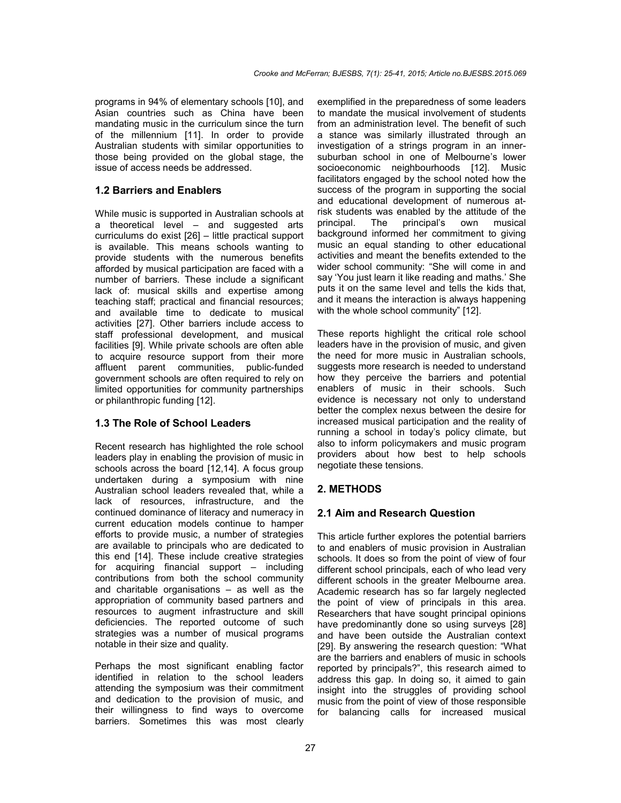programs in 94% of elementary schools [10], and Asian countries such as China have been mandating music in the curriculum since the turn of the millennium [11]. In order to provide Australian students with similar opportunities to those being provided on the global stage, the issue of access needs be addressed.

# **1.2 Barriers and Enablers**

While music is supported in Australian schools at a theoretical level – and suggested arts curriculums do exist [26] – little practical support is available. This means schools wanting to provide students with the numerous benefits afforded by musical participation are faced with a number of barriers. These include a significant lack of: musical skills and expertise among teaching staff; practical and financial resources; and available time to dedicate to musical activities [27]. Other barriers include access to staff professional development, and musical facilities [9]. While private schools are often able to acquire resource support from their more affluent parent communities, public-funded government schools are often required to rely on limited opportunities for community partnerships or philanthropic funding [12].

# **1.3 The Role of School Leaders**

Recent research has highlighted the role school leaders play in enabling the provision of music in schools across the board [12,14]. A focus group undertaken during a symposium with nine Australian school leaders revealed that, while a lack of resources, infrastructure, and the continued dominance of literacy and numeracy in current education models continue to hamper efforts to provide music, a number of strategies are available to principals who are dedicated to this end [14]. These include creative strategies for acquiring financial support – including contributions from both the school community and charitable organisations – as well as the appropriation of community based partners and resources to augment infrastructure and skill deficiencies. The reported outcome of such strategies was a number of musical programs notable in their size and quality.

Perhaps the most significant enabling factor identified in relation to the school leaders attending the symposium was their commitment and dedication to the provision of music, and their willingness to find ways to overcome barriers. Sometimes this was most clearly

exemplified in the preparedness of some leaders to mandate the musical involvement of students from an administration level. The benefit of such a stance was similarly illustrated through an investigation of a strings program in an innersuburban school in one of Melbourne's lower socioeconomic neighbourhoods [12]. Music facilitators engaged by the school noted how the success of the program in supporting the social and educational development of numerous atrisk students was enabled by the attitude of the principal. The principal's own musical background informed her commitment to giving music an equal standing to other educational activities and meant the benefits extended to the wider school community: "She will come in and say 'You just learn it like reading and maths.' She puts it on the same level and tells the kids that, and it means the interaction is always happening with the whole school community" [12].

These reports highlight the critical role school leaders have in the provision of music, and given the need for more music in Australian schools, suggests more research is needed to understand how they perceive the barriers and potential enablers of music in their schools. Such evidence is necessary not only to understand better the complex nexus between the desire for increased musical participation and the reality of running a school in today's policy climate, but also to inform policymakers and music program providers about how best to help schools negotiate these tensions.

# **2. METHODS**

# **2.1 Aim and Research Question**

This article further explores the potential barriers to and enablers of music provision in Australian schools. It does so from the point of view of four different school principals, each of who lead very different schools in the greater Melbourne area. Academic research has so far largely neglected the point of view of principals in this area. Researchers that have sought principal opinions have predominantly done so using surveys [28] and have been outside the Australian context [29]. By answering the research question: "What are the barriers and enablers of music in schools reported by principals?", this research aimed to address this gap. In doing so, it aimed to gain insight into the struggles of providing school music from the point of view of those responsible for balancing calls for increased musical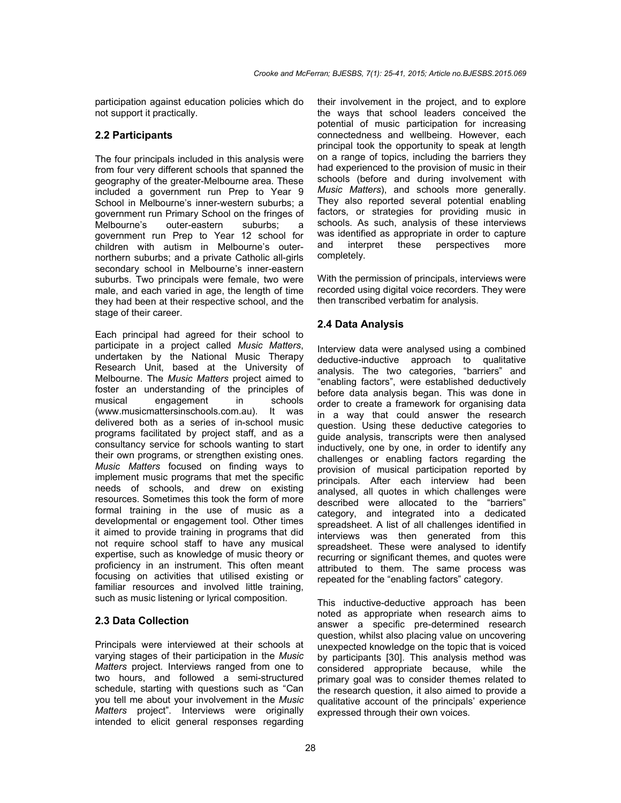participation against education policies which do not support it practically.

# **2.2 Participants**

The four principals included in this analysis were from four very different schools that spanned the geography of the greater-Melbourne area. These included a government run Prep to Year 9 School in Melbourne's inner-western suburbs; a government run Primary School on the fringes of Melbourne's outer-eastern suburbs; a government run Prep to Year 12 school for children with autism in Melbourne's outernorthern suburbs; and a private Catholic all-girls secondary school in Melbourne's inner-eastern suburbs. Two principals were female, two were male, and each varied in age, the length of time they had been at their respective school, and the stage of their career.

Each principal had agreed for their school to participate in a project called *Music Matters*, undertaken by the National Music Therapy Research Unit, based at the University of Melbourne. The *Music Matters* project aimed to foster an understanding of the principles of musical engagement in schools (www.musicmattersinschools.com.au). It was delivered both as a series of in-school music programs facilitated by project staff, and as a consultancy service for schools wanting to start their own programs, or strengthen existing ones. *Music Matters* focused on finding ways to implement music programs that met the specific needs of schools, and drew on existing resources. Sometimes this took the form of more formal training in the use of music as a developmental or engagement tool. Other times it aimed to provide training in programs that did not require school staff to have any musical expertise, such as knowledge of music theory or proficiency in an instrument. This often meant focusing on activities that utilised existing or familiar resources and involved little training, such as music listening or lyrical composition.

# **2.3 Data Collection**

Principals were interviewed at their schools at varying stages of their participation in the *Music Matters* project. Interviews ranged from one to two hours, and followed a semi-structured schedule, starting with questions such as "Can you tell me about your involvement in the *Music Matters* project". Interviews were originally intended to elicit general responses regarding

their involvement in the project, and to explore the ways that school leaders conceived the potential of music participation for increasing connectedness and wellbeing. However, each principal took the opportunity to speak at length on a range of topics, including the barriers they had experienced to the provision of music in their schools (before and during involvement with *Music Matters*), and schools more generally. They also reported several potential enabling factors, or strategies for providing music in schools. As such, analysis of these interviews was identified as appropriate in order to capture and interpret these perspectives more completely.

With the permission of principals, interviews were recorded using digital voice recorders. They were then transcribed verbatim for analysis.

# **2.4 Data Analysis**

Interview data were analysed using a combined deductive-inductive approach to qualitative analysis. The two categories, "barriers" and "enabling factors", were established deductively before data analysis began. This was done in order to create a framework for organising data in a way that could answer the research question. Using these deductive categories to guide analysis, transcripts were then analysed inductively, one by one, in order to identify any challenges or enabling factors regarding the provision of musical participation reported by principals. After each interview had been analysed, all quotes in which challenges were described were allocated to the "barriers" category, and integrated into a dedicated spreadsheet. A list of all challenges identified in interviews was then generated from this spreadsheet. These were analysed to identify recurring or significant themes, and quotes were attributed to them. The same process was repeated for the "enabling factors" category.

This inductive-deductive approach has been noted as appropriate when research aims to answer a specific pre-determined research question, whilst also placing value on uncovering unexpected knowledge on the topic that is voiced by participants [30]. This analysis method was considered appropriate because, while the primary goal was to consider themes related to the research question, it also aimed to provide a qualitative account of the principals' experience expressed through their own voices.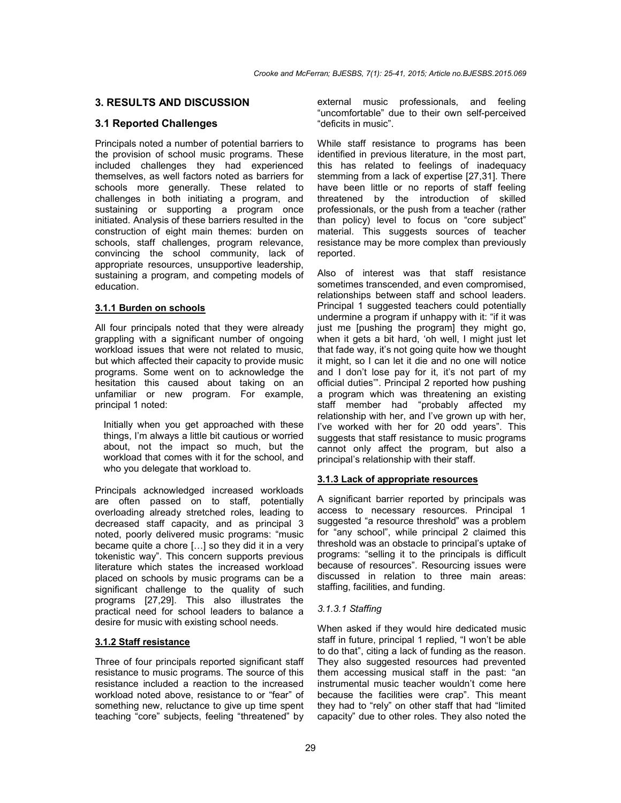# **3. RESULTS AND DISCUSSION**

# **3.1 Reported Challenges**

Principals noted a number of potential barriers to the provision of school music programs. These included challenges they had experienced themselves, as well factors noted as barriers for schools more generally. These related to challenges in both initiating a program, and sustaining or supporting a program once initiated. Analysis of these barriers resulted in the construction of eight main themes: burden on schools, staff challenges, program relevance, convincing the school community, lack of appropriate resources, unsupportive leadership, sustaining a program, and competing models of education.

## **3.1.1 Burden on schools**

All four principals noted that they were already grappling with a significant number of ongoing workload issues that were not related to music, but which affected their capacity to provide music programs. Some went on to acknowledge the hesitation this caused about taking on an unfamiliar or new program. For example, principal 1 noted:

Initially when you get approached with these things, I'm always a little bit cautious or worried about, not the impact so much, but the workload that comes with it for the school, and who you delegate that workload to.

Principals acknowledged increased workloads are often passed on to staff, potentially overloading already stretched roles, leading to decreased staff capacity, and as principal 3 noted, poorly delivered music programs: "music became quite a chore […] so they did it in a very tokenistic way". This concern supports previous literature which states the increased workload placed on schools by music programs can be a significant challenge to the quality of such programs [27,29]. This also illustrates the practical need for school leaders to balance a desire for music with existing school needs.

# **3.1.2 Staff resistance**

Three of four principals reported significant staff resistance to music programs. The source of this resistance included a reaction to the increased workload noted above, resistance to or "fear" of something new, reluctance to give up time spent teaching "core" subjects, feeling "threatened" by external music professionals, and feeling "uncomfortable" due to their own self-perceived "deficits in music".

While staff resistance to programs has been identified in previous literature, in the most part, this has related to feelings of inadequacy stemming from a lack of expertise [27,31]. There have been little or no reports of staff feeling threatened by the introduction of skilled professionals, or the push from a teacher (rather than policy) level to focus on "core subject" material. This suggests sources of teacher resistance may be more complex than previously reported.

Also of interest was that staff resistance sometimes transcended, and even compromised, relationships between staff and school leaders. Principal 1 suggested teachers could potentially undermine a program if unhappy with it: "if it was just me [pushing the program] they might go, when it gets a bit hard, 'oh well, I might just let that fade way, it's not going quite how we thought it might, so I can let it die and no one will notice and I don't lose pay for it, it's not part of my official duties'". Principal 2 reported how pushing a program which was threatening an existing staff member had "probably affected my relationship with her, and I've grown up with her, I've worked with her for 20 odd years". This suggests that staff resistance to music programs cannot only affect the program, but also a principal's relationship with their staff.

# **3.1.3 Lack of appropriate resources**

A significant barrier reported by principals was access to necessary resources. Principal 1 suggested "a resource threshold" was a problem for "any school", while principal 2 claimed this threshold was an obstacle to principal's uptake of programs: "selling it to the principals is difficult because of resources". Resourcing issues were discussed in relation to three main areas: staffing, facilities, and funding.

#### *3.1.3.1 Staffing*

When asked if they would hire dedicated music staff in future, principal 1 replied, "I won't be able to do that", citing a lack of funding as the reason. They also suggested resources had prevented them accessing musical staff in the past: "an instrumental music teacher wouldn't come here because the facilities were crap". This meant they had to "rely" on other staff that had "limited capacity" due to other roles. They also noted the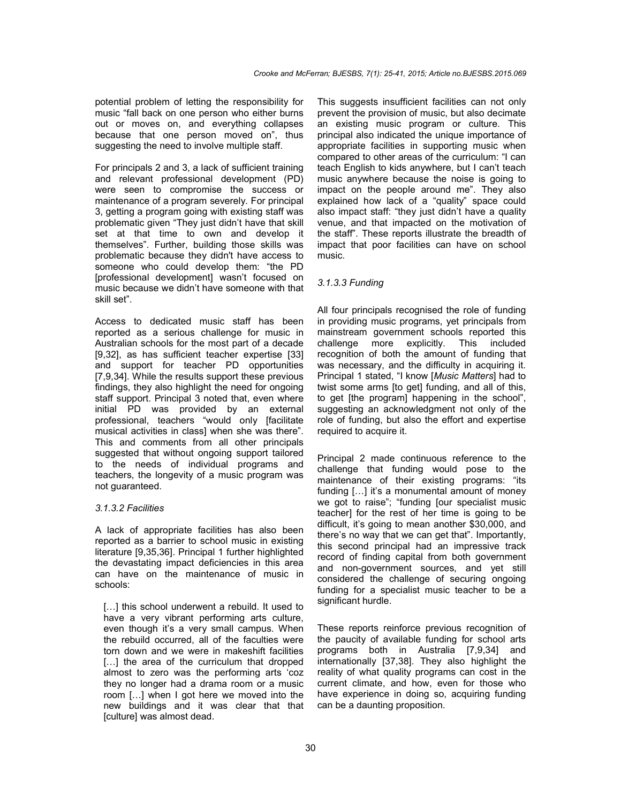potential problem of letting the responsibility for music "fall back on one person who either burns out or moves on, and everything collapses because that one person moved on", thus suggesting the need to involve multiple staff.

For principals 2 and 3, a lack of sufficient training and relevant professional development (PD) were seen to compromise the success or maintenance of a program severely. For principal 3, getting a program going with existing staff was problematic given "They just didn't have that skill set at that time to own and develop it themselves". Further, building those skills was problematic because they didn't have access to someone who could develop them: "the PD [professional development] wasn't focused on music because we didn't have someone with that skill set".

Access to dedicated music staff has been reported as a serious challenge for music in Australian schools for the most part of a decade [9,32], as has sufficient teacher expertise [33] and support for teacher PD opportunities [7,9,34]. While the results support these previous findings, they also highlight the need for ongoing staff support. Principal 3 noted that, even where initial PD was provided by an external professional, teachers "would only [facilitate musical activities in class] when she was there". This and comments from all other principals suggested that without ongoing support tailored to the needs of individual programs and teachers, the longevity of a music program was not guaranteed.

#### *3.1.3.2 Facilities*

A lack of appropriate facilities has also been reported as a barrier to school music in existing literature [9,35,36]. Principal 1 further highlighted the devastating impact deficiencies in this area can have on the maintenance of music in schools:

[...] this school underwent a rebuild. It used to have a very vibrant performing arts culture, even though it's a very small campus. When the rebuild occurred, all of the faculties were torn down and we were in makeshift facilities [...] the area of the curriculum that dropped almost to zero was the performing arts 'coz they no longer had a drama room or a music room […] when I got here we moved into the new buildings and it was clear that that [culture] was almost dead.

This suggests insufficient facilities can not only prevent the provision of music, but also decimate an existing music program or culture. This principal also indicated the unique importance of appropriate facilities in supporting music when compared to other areas of the curriculum: "I can teach English to kids anywhere, but I can't teach music anywhere because the noise is going to impact on the people around me". They also explained how lack of a "quality" space could also impact staff: "they just didn't have a quality venue, and that impacted on the motivation of the staff". These reports illustrate the breadth of impact that poor facilities can have on school music.

#### *3.1.3.3 Funding*

All four principals recognised the role of funding in providing music programs, yet principals from mainstream government schools reported this challenge more explicitly. This included recognition of both the amount of funding that was necessary, and the difficulty in acquiring it. Principal 1 stated, "I know [*Music Matters*] had to twist some arms [to get] funding, and all of this, to get [the program] happening in the school", suggesting an acknowledgment not only of the role of funding, but also the effort and expertise required to acquire it.

Principal 2 made continuous reference to the challenge that funding would pose to the maintenance of their existing programs: "its funding […] it's a monumental amount of money we got to raise"; "funding [our specialist music teacher] for the rest of her time is going to be difficult, it's going to mean another \$30,000, and there's no way that we can get that". Importantly, this second principal had an impressive track record of finding capital from both government and non-government sources, and yet still considered the challenge of securing ongoing funding for a specialist music teacher to be a significant hurdle.

These reports reinforce previous recognition of the paucity of available funding for school arts programs both in Australia [7,9,34] and internationally [37,38]. They also highlight the reality of what quality programs can cost in the current climate, and how, even for those who have experience in doing so, acquiring funding can be a daunting proposition.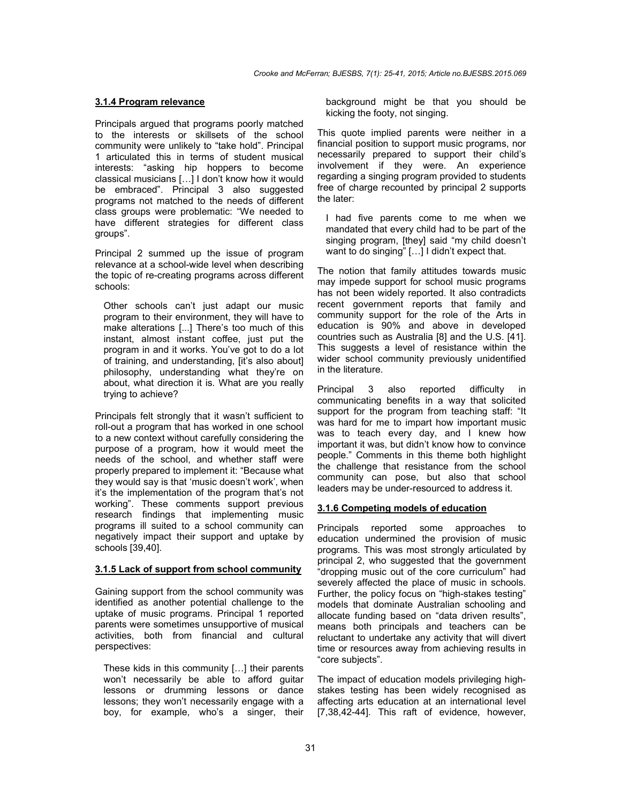#### **3.1.4 Program relevance**

Principals argued that programs poorly matched to the interests or skillsets of the school community were unlikely to "take hold". Principal 1 articulated this in terms of student musical interests: "asking hip hoppers to become classical musicians […] I don't know how it would be embraced". Principal 3 also suggested programs not matched to the needs of different class groups were problematic: "We needed to have different strategies for different class groups".

Principal 2 summed up the issue of program relevance at a school-wide level when describing the topic of re-creating programs across different schools:

Other schools can't just adapt our music program to their environment, they will have to make alterations [...] There's too much of this instant, almost instant coffee, just put the program in and it works. You've got to do a lot of training, and understanding, [it's also about] philosophy, understanding what they're on about, what direction it is. What are you really trying to achieve?

Principals felt strongly that it wasn't sufficient to roll-out a program that has worked in one school to a new context without carefully considering the purpose of a program, how it would meet the needs of the school, and whether staff were properly prepared to implement it: "Because what they would say is that 'music doesn't work', when it's the implementation of the program that's not working". These comments support previous research findings that implementing music programs ill suited to a school community can negatively impact their support and uptake by schools [39,40].

## **3.1.5 Lack of support from school community**

Gaining support from the school community was identified as another potential challenge to the uptake of music programs. Principal 1 reported parents were sometimes unsupportive of musical activities, both from financial and cultural perspectives:

These kids in this community […] their parents won't necessarily be able to afford guitar lessons or drumming lessons or dance lessons; they won't necessarily engage with a boy, for example, who's a singer, their background might be that you should be kicking the footy, not singing.

This quote implied parents were neither in a financial position to support music programs, nor necessarily prepared to support their child's involvement if they were. An experience regarding a singing program provided to students free of charge recounted by principal 2 supports the later:

I had five parents come to me when we mandated that every child had to be part of the singing program, [they] said "my child doesn't want to do singing" […] I didn't expect that.

The notion that family attitudes towards music may impede support for school music programs has not been widely reported. It also contradicts recent government reports that family and community support for the role of the Arts in education is 90% and above in developed countries such as Australia [8] and the U.S. [41]. This suggests a level of resistance within the wider school community previously unidentified in the literature.

Principal 3 also reported difficulty in communicating benefits in a way that solicited support for the program from teaching staff: "It was hard for me to impart how important music was to teach every day, and I knew how important it was, but didn't know how to convince people." Comments in this theme both highlight the challenge that resistance from the school community can pose, but also that school leaders may be under-resourced to address it.

#### **3.1.6 Competing models of education**

Principals reported some approaches to education undermined the provision of music programs. This was most strongly articulated by principal 2, who suggested that the government "dropping music out of the core curriculum" had severely affected the place of music in schools. Further, the policy focus on "high-stakes testing" models that dominate Australian schooling and allocate funding based on "data driven results", means both principals and teachers can be reluctant to undertake any activity that will divert time or resources away from achieving results in "core subjects".

The impact of education models privileging highstakes testing has been widely recognised as affecting arts education at an international level [7,38,42-44]. This raft of evidence, however,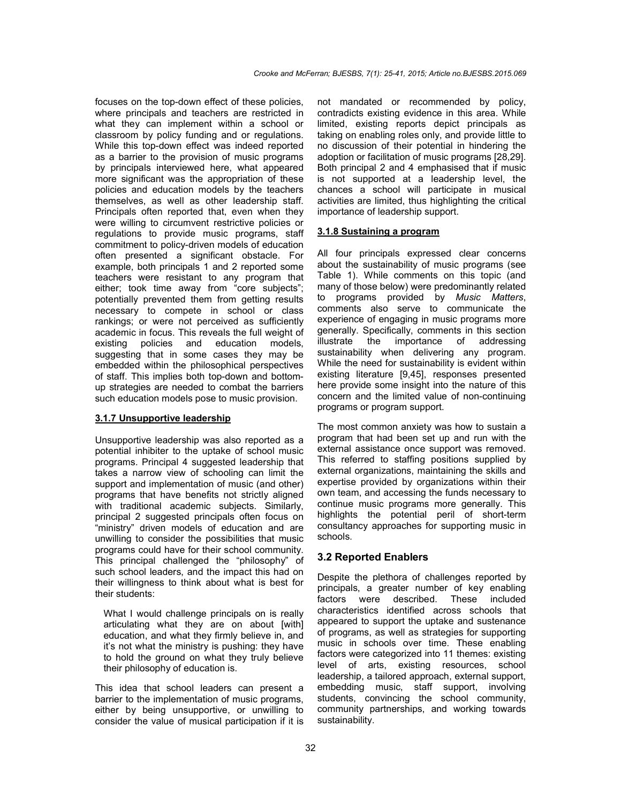focuses on the top-down effect of these policies, where principals and teachers are restricted in what they can implement within a school or classroom by policy funding and or regulations. While this top-down effect was indeed reported as a barrier to the provision of music programs by principals interviewed here, what appeared more significant was the appropriation of these policies and education models by the teachers themselves, as well as other leadership staff. Principals often reported that, even when they were willing to circumvent restrictive policies or regulations to provide music programs, staff commitment to policy-driven models of education often presented a significant obstacle. For example, both principals 1 and 2 reported some teachers were resistant to any program that either; took time away from "core subjects"; potentially prevented them from getting results necessary to compete in school or class rankings; or were not perceived as sufficiently academic in focus. This reveals the full weight of existing policies and education models, suggesting that in some cases they may be embedded within the philosophical perspectives of staff. This implies both top-down and bottomup strategies are needed to combat the barriers such education models pose to music provision.

#### **3.1.7 Unsupportive leadership**

Unsupportive leadership was also reported as a potential inhibiter to the uptake of school music programs. Principal 4 suggested leadership that takes a narrow view of schooling can limit the support and implementation of music (and other) programs that have benefits not strictly aligned with traditional academic subiects. Similarly, principal 2 suggested principals often focus on "ministry" driven models of education and are unwilling to consider the possibilities that music programs could have for their school community. This principal challenged the "philosophy" of such school leaders, and the impact this had on their willingness to think about what is best for their students:

What I would challenge principals on is really articulating what they are on about [with] education, and what they firmly believe in, and it's not what the ministry is pushing: they have to hold the ground on what they truly believe their philosophy of education is.

This idea that school leaders can present a barrier to the implementation of music programs, either by being unsupportive, or unwilling to consider the value of musical participation if it is not mandated or recommended by policy, contradicts existing evidence in this area. While limited, existing reports depict principals as taking on enabling roles only, and provide little to no discussion of their potential in hindering the adoption or facilitation of music programs [28,29]. Both principal 2 and 4 emphasised that if music is not supported at a leadership level, the chances a school will participate in musical activities are limited, thus highlighting the critical importance of leadership support.

#### **3.1.8 Sustaining a program**

All four principals expressed clear concerns about the sustainability of music programs (see Table 1). While comments on this topic (and many of those below) were predominantly related to programs provided by *Music Matters*, comments also serve to communicate the experience of engaging in music programs more generally. Specifically, comments in this section illustrate the importance of addressing sustainability when delivering any program. While the need for sustainability is evident within existing literature [9,45], responses presented here provide some insight into the nature of this concern and the limited value of non-continuing programs or program support.

The most common anxiety was how to sustain a program that had been set up and run with the external assistance once support was removed. This referred to staffing positions supplied by external organizations, maintaining the skills and expertise provided by organizations within their own team, and accessing the funds necessary to continue music programs more generally. This highlights the potential peril of short-term consultancy approaches for supporting music in schools.

## **3.2 Reported Enablers**

Despite the plethora of challenges reported by principals, a greater number of key enabling factors were described. These included characteristics identified across schools that appeared to support the uptake and sustenance of programs, as well as strategies for supporting music in schools over time. These enabling factors were categorized into 11 themes: existing level of arts, existing resources, school leadership, a tailored approach, external support, embedding music, staff support, involving students, convincing the school community, community partnerships, and working towards sustainability.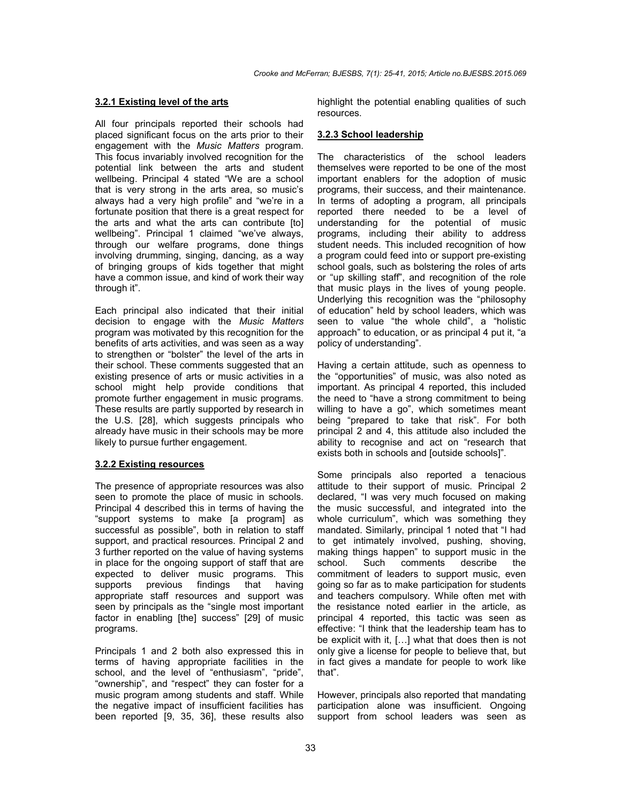#### **3.2.1 Existing level of the arts**

All four principals reported their schools had placed significant focus on the arts prior to their engagement with the *Music Matters* program. This focus invariably involved recognition for the potential link between the arts and student wellbeing. Principal 4 stated "We are a school that is very strong in the arts area, so music's always had a very high profile" and "we're in a fortunate position that there is a great respect for the arts and what the arts can contribute [to] wellbeing". Principal 1 claimed "we've always, through our welfare programs, done things involving drumming, singing, dancing, as a way of bringing groups of kids together that might have a common issue, and kind of work their way through it".

Each principal also indicated that their initial decision to engage with the *Music Matters* program was motivated by this recognition for the benefits of arts activities, and was seen as a way to strengthen or "bolster" the level of the arts in their school. These comments suggested that an existing presence of arts or music activities in a school might help provide conditions that promote further engagement in music programs. These results are partly supported by research in the U.S. [28], which suggests principals who already have music in their schools may be more likely to pursue further engagement.

#### **3.2.2 Existing resources**

The presence of appropriate resources was also seen to promote the place of music in schools. Principal 4 described this in terms of having the "support systems to make [a program] as successful as possible", both in relation to staff support, and practical resources. Principal 2 and 3 further reported on the value of having systems in place for the ongoing support of staff that are expected to deliver music programs. This supports previous findings that having appropriate staff resources and support was seen by principals as the "single most important factor in enabling [the] success" [29] of music programs.

Principals 1 and 2 both also expressed this in terms of having appropriate facilities in the school, and the level of "enthusiasm", "pride", "ownership", and "respect" they can foster for a music program among students and staff. While the negative impact of insufficient facilities has been reported [9, 35, 36], these results also

highlight the potential enabling qualities of such resources.

#### **3.2.3 School leadership**

The characteristics of the school leaders themselves were reported to be one of the most important enablers for the adoption of music programs, their success, and their maintenance. In terms of adopting a program, all principals reported there needed to be a level of understanding for the potential of music programs, including their ability to address student needs. This included recognition of how a program could feed into or support pre-existing school goals, such as bolstering the roles of arts or "up skilling staff", and recognition of the role that music plays in the lives of young people. Underlying this recognition was the "philosophy of education" held by school leaders, which was seen to value "the whole child", a "holistic approach" to education, or as principal 4 put it, "a policy of understanding".

Having a certain attitude, such as openness to the "opportunities" of music, was also noted as important. As principal 4 reported, this included the need to "have a strong commitment to being willing to have a go", which sometimes meant being "prepared to take that risk". For both principal 2 and 4, this attitude also included the ability to recognise and act on "research that exists both in schools and [outside schools]".

Some principals also reported a tenacious attitude to their support of music. Principal 2 declared, "I was very much focused on making the music successful, and integrated into the whole curriculum", which was something they mandated. Similarly, principal 1 noted that "I had to get intimately involved, pushing, shoving, making things happen" to support music in the school. Such comments describe the comments commitment of leaders to support music, even going so far as to make participation for students and teachers compulsory. While often met with the resistance noted earlier in the article, as principal 4 reported, this tactic was seen as effective: "I think that the leadership team has to be explicit with it, […] what that does then is not only give a license for people to believe that, but in fact gives a mandate for people to work like that".

However, principals also reported that mandating participation alone was insufficient. Ongoing support from school leaders was seen as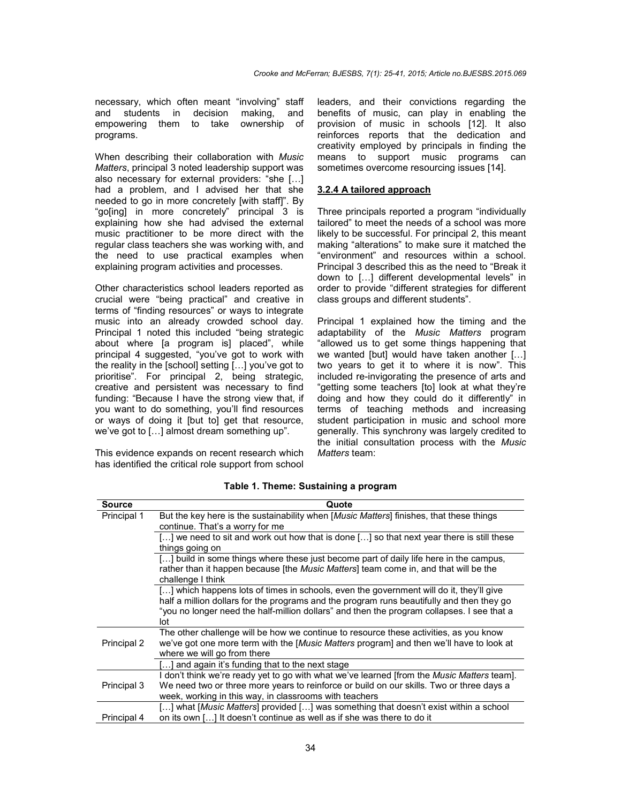necessary, which often meant "involving" staff and students in decision making, and empowering them to take ownership of programs.

When describing their collaboration with *Music Matters*, principal 3 noted leadership support was also necessary for external providers: "she […] had a problem, and I advised her that she needed to go in more concretely [with staff]". By "go[ing] in more concretely" principal 3 is explaining how she had advised the external music practitioner to be more direct with the regular class teachers she was working with, and the need to use practical examples when explaining program activities and processes.

Other characteristics school leaders reported as crucial were "being practical" and creative in terms of "finding resources" or ways to integrate music into an already crowded school day. Principal 1 noted this included "being strategic about where [a program is] placed", while principal 4 suggested, "you've got to work with the reality in the [school] setting […] you've got to prioritise". For principal 2, being strategic, creative and persistent was necessary to find funding: "Because I have the strong view that, if you want to do something, you'll find resources or ways of doing it [but to] get that resource, we've got to […] almost dream something up".

This evidence expands on recent research which has identified the critical role support from school

leaders, and their convictions regarding the benefits of music, can play in enabling the provision of music in schools [12]. It also reinforces reports that the dedication and creativity employed by principals in finding the means to support music programs can sometimes overcome resourcing issues [14].

# **3.2.4 A tailored approach**

Three principals reported a program "individually tailored" to meet the needs of a school was more likely to be successful. For principal 2, this meant making "alterations" to make sure it matched the "environment" and resources within a school. Principal 3 described this as the need to "Break it down to […] different developmental levels" in order to provide "different strategies for different class groups and different students".

Principal 1 explained how the timing and the adaptability of the *Music Matters* program "allowed us to get some things happening that we wanted [but] would have taken another […] two years to get it to where it is now". This included re-invigorating the presence of arts and "getting some teachers [to] look at what they're doing and how they could do it differently" in terms of teaching methods and increasing student participation in music and school more generally. This synchrony was largely credited to the initial consultation process with the *Music Matters* team:

| <b>Source</b> | Quote                                                                                                      |
|---------------|------------------------------------------------------------------------------------------------------------|
| Principal 1   | But the key here is the sustainability when [Music Matters] finishes, that these things                    |
|               | continue. That's a worry for me                                                                            |
|               | [] we need to sit and work out how that is done [] so that next year there is still these                  |
|               | things going on                                                                                            |
|               | [] build in some things where these just become part of daily life here in the campus,                     |
|               | rather than it happen because [the <i>Music Matters</i> ] team come in, and that will be the               |
|               | challenge I think                                                                                          |
|               | $\left[\ldots\right]$ which happens lots of times in schools, even the government will do it, they'll give |
|               | half a million dollars for the programs and the program runs beautifully and then they go                  |
|               | "you no longer need the half-million dollars" and then the program collapses. I see that a                 |
|               | lot                                                                                                        |
|               | The other challenge will be how we continue to resource these activities, as you know                      |
| Principal 2   | we've got one more term with the [Music Matters program] and then we'll have to look at                    |
|               | where we will go from there                                                                                |
|               | [] and again it's funding that to the next stage                                                           |
|               | I don't think we're ready yet to go with what we've learned [from the <i>Music Matters</i> team].          |
| Principal 3   | We need two or three more years to reinforce or build on our skills. Two or three days a                   |
|               | week, working in this way, in classrooms with teachers                                                     |
|               | [] what [Music Matters] provided [] was something that doesn't exist within a school                       |
| Principal 4   | on its own [] It doesn't continue as well as if she was there to do it                                     |

**Table 1. Theme: Sustaining a program**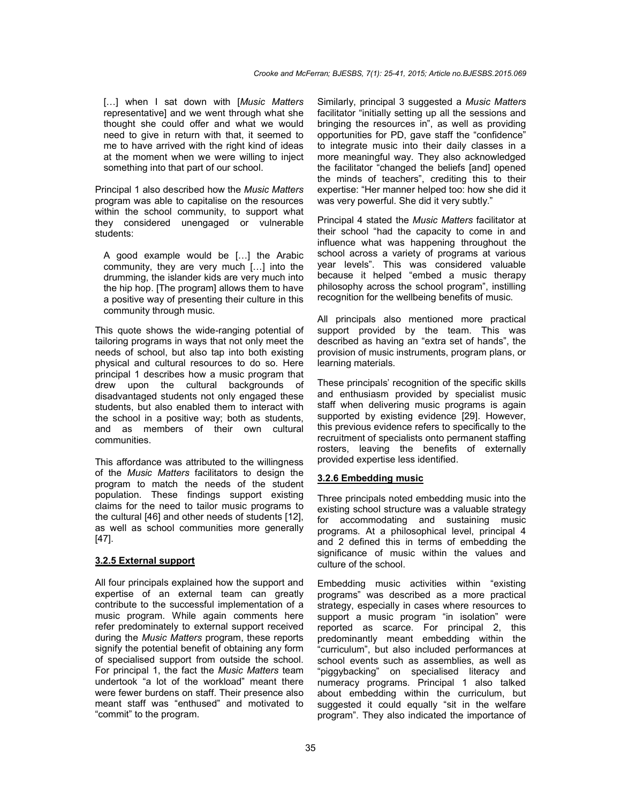[…] when I sat down with [*Music Matters* representative] and we went through what she thought she could offer and what we would need to give in return with that, it seemed to me to have arrived with the right kind of ideas at the moment when we were willing to inject something into that part of our school.

Principal 1 also described how the *Music Matters* program was able to capitalise on the resources within the school community, to support what they considered unengaged or vulnerable students:

A good example would be […] the Arabic community, they are very much […] into the drumming, the islander kids are very much into the hip hop. [The program] allows them to have a positive way of presenting their culture in this community through music.

This quote shows the wide-ranging potential of tailoring programs in ways that not only meet the needs of school, but also tap into both existing physical and cultural resources to do so. Here principal 1 describes how a music program that drew upon the cultural backgrounds of disadvantaged students not only engaged these students, but also enabled them to interact with the school in a positive way; both as students, and as members of their own cultural communities.

This affordance was attributed to the willingness of the *Music Matters* facilitators to design the program to match the needs of the student population. These findings support existing claims for the need to tailor music programs to the cultural [46] and other needs of students [12], as well as school communities more generally [47].

#### **3.2.5 External support**

All four principals explained how the support and expertise of an external team can greatly contribute to the successful implementation of a music program. While again comments here refer predominately to external support received during the *Music Matters* program, these reports signify the potential benefit of obtaining any form of specialised support from outside the school. For principal 1, the fact the *Music Matters* team undertook "a lot of the workload" meant there were fewer burdens on staff. Their presence also meant staff was "enthused" and motivated to "commit" to the program.

Similarly, principal 3 suggested a *Music Matters* facilitator "initially setting up all the sessions and bringing the resources in", as well as providing opportunities for PD, gave staff the "confidence" to integrate music into their daily classes in a more meaningful way. They also acknowledged the facilitator "changed the beliefs [and] opened the minds of teachers", crediting this to their expertise: "Her manner helped too: how she did it was very powerful. She did it very subtly."

Principal 4 stated the *Music Matters* facilitator at their school "had the capacity to come in and influence what was happening throughout the school across a variety of programs at various year levels". This was considered valuable because it helped "embed a music therapy philosophy across the school program", instilling recognition for the wellbeing benefits of music.

All principals also mentioned more practical support provided by the team. This was described as having an "extra set of hands", the provision of music instruments, program plans, or learning materials.

These principals' recognition of the specific skills and enthusiasm provided by specialist music staff when delivering music programs is again supported by existing evidence [29]. However, this previous evidence refers to specifically to the recruitment of specialists onto permanent staffing rosters, leaving the benefits of externally provided expertise less identified.

#### **3.2.6 Embedding music**

Three principals noted embedding music into the existing school structure was a valuable strategy for accommodating and sustaining music programs. At a philosophical level, principal 4 and 2 defined this in terms of embedding the significance of music within the values and culture of the school.

Embedding music activities within "existing programs" was described as a more practical strategy, especially in cases where resources to support a music program "in isolation" were reported as scarce. For principal 2, this predominantly meant embedding within the "curriculum", but also included performances at school events such as assemblies, as well as "piggybacking" on specialised literacy and numeracy programs. Principal 1 also talked about embedding within the curriculum, but suggested it could equally "sit in the welfare program". They also indicated the importance of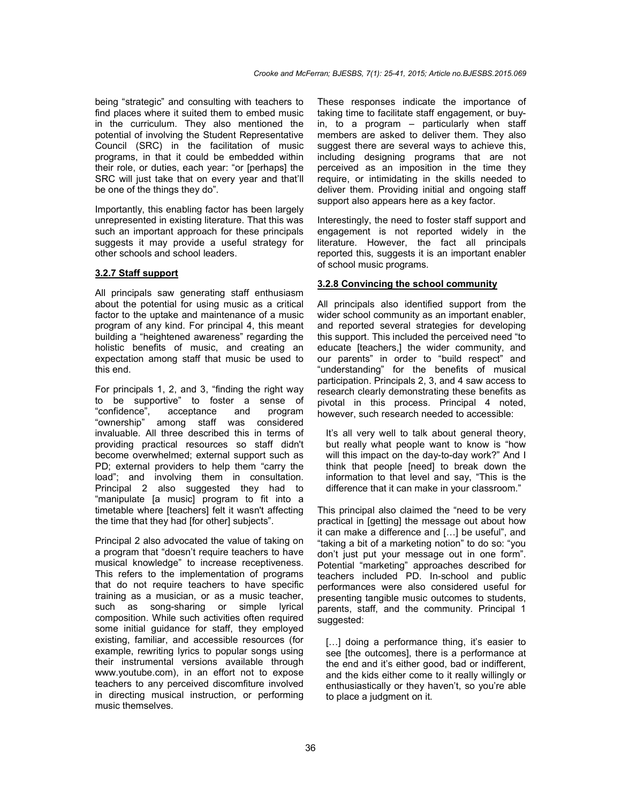being "strategic" and consulting with teachers to find places where it suited them to embed music in the curriculum. They also mentioned the potential of involving the Student Representative Council (SRC) in the facilitation of music programs, in that it could be embedded within their role, or duties, each year: "or [perhaps] the SRC will just take that on every year and that'll be one of the things they do".

Importantly, this enabling factor has been largely unrepresented in existing literature. That this was such an important approach for these principals suggests it may provide a useful strategy for other schools and school leaders.

#### **3.2.7 Staff support**

All principals saw generating staff enthusiasm about the potential for using music as a critical factor to the uptake and maintenance of a music program of any kind. For principal 4, this meant building a "heightened awareness" regarding the holistic benefits of music, and creating an expectation among staff that music be used to this end.

For principals 1, 2, and 3, "finding the right way to be supportive" to foster a sense of "confidence", acceptance and program "ownership" among staff was considered invaluable. All three described this in terms of providing practical resources so staff didn't become overwhelmed; external support such as PD; external providers to help them "carry the load"; and involving them in consultation. Principal 2 also suggested they had to "manipulate [a music] program to fit into a timetable where [teachers] felt it wasn't affecting the time that they had [for other] subjects".

Principal 2 also advocated the value of taking on a program that "doesn't require teachers to have musical knowledge" to increase receptiveness. This refers to the implementation of programs that do not require teachers to have specific training as a musician, or as a music teacher, such as song-sharing or simple lyrical composition. While such activities often required some initial guidance for staff, they employed existing, familiar, and accessible resources (for example, rewriting lyrics to popular songs using their instrumental versions available through www.youtube.com), in an effort not to expose teachers to any perceived discomfiture involved in directing musical instruction, or performing music themselves.

These responses indicate the importance of taking time to facilitate staff engagement, or buyin, to a program – particularly when staff members are asked to deliver them. They also suggest there are several ways to achieve this, including designing programs that are not perceived as an imposition in the time they require, or intimidating in the skills needed to deliver them. Providing initial and ongoing staff support also appears here as a key factor.

Interestingly, the need to foster staff support and engagement is not reported widely in the literature. However, the fact all principals reported this, suggests it is an important enabler of school music programs.

## **3.2.8 Convincing the school community**

All principals also identified support from the wider school community as an important enabler, and reported several strategies for developing this support. This included the perceived need "to educate [teachers,] the wider community, and our parents" in order to "build respect" and "understanding" for the benefits of musical participation. Principals 2, 3, and 4 saw access to research clearly demonstrating these benefits as pivotal in this process. Principal 4 noted, however, such research needed to accessible:

It's all very well to talk about general theory, but really what people want to know is "how will this impact on the day-to-day work?" And I think that people [need] to break down the information to that level and say, "This is the difference that it can make in your classroom."

This principal also claimed the "need to be very practical in [getting] the message out about how it can make a difference and […] be useful", and "taking a bit of a marketing notion" to do so: "you don't just put your message out in one form". Potential "marketing" approaches described for teachers included PD. In-school and public performances were also considered useful for presenting tangible music outcomes to students, parents, staff, and the community. Principal 1 suggested:

[...] doing a performance thing, it's easier to see [the outcomes], there is a performance at the end and it's either good, bad or indifferent, and the kids either come to it really willingly or enthusiastically or they haven't, so you're able to place a judgment on it.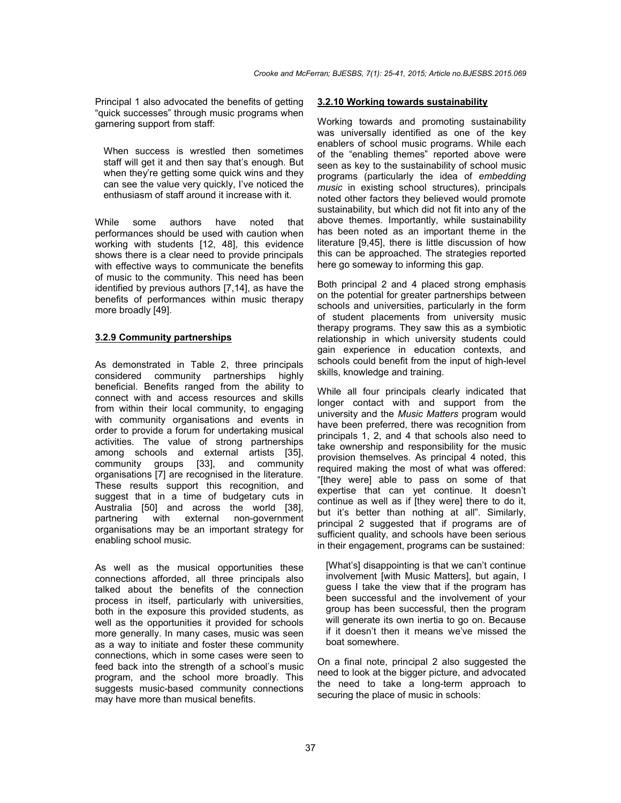Principal 1 also advocated the benefits of getting "quick successes" through music programs when garnering support from staff:

When success is wrestled then sometimes staff will get it and then say that's enough. But when they're getting some quick wins and they can see the value very quickly, I've noticed the enthusiasm of staff around it increase with it.

While some authors have noted that performances should be used with caution when working with students [12, 48], this evidence shows there is a clear need to provide principals with effective ways to communicate the benefits of music to the community. This need has been identified by previous authors [7,14], as have the benefits of performances within music therapy more broadly [49].

## **3.2.9 Community partnerships**

As demonstrated in Table 2, three principals considered community partnerships highly beneficial. Benefits ranged from the ability to connect with and access resources and skills from within their local community, to engaging with community organisations and events in order to provide a forum for undertaking musical activities. The value of strong partnerships among schools and external artists [35], community groups [33], and community organisations [7] are recognised in the literature. These results support this recognition, and suggest that in a time of budgetary cuts in Australia [50] and across the world [38], partnering with external non-government organisations may be an important strategy for enabling school music.

As well as the musical opportunities these connections afforded, all three principals also talked about the benefits of the connection process in itself, particularly with universities, both in the exposure this provided students, as well as the opportunities it provided for schools more generally. In many cases, music was seen as a way to initiate and foster these community connections, which in some cases were seen to feed back into the strength of a school's music program, and the school more broadly. This suggests music-based community connections may have more than musical benefits.

#### **3.2.10 Working towards sustainability**

Working towards and promoting sustainability was universally identified as one of the key enablers of school music programs. While each of the "enabling themes" reported above were seen as key to the sustainability of school music programs (particularly the idea of *embedding music* in existing school structures), principals noted other factors they believed would promote sustainability, but which did not fit into any of the above themes. Importantly, while sustainability has been noted as an important theme in the literature [9,45], there is little discussion of how this can be approached. The strategies reported here go someway to informing this gap.

Both principal 2 and 4 placed strong emphasis on the potential for greater partnerships between schools and universities, particularly in the form of student placements from university music therapy programs. They saw this as a symbiotic relationship in which university students could gain experience in education contexts, and schools could benefit from the input of high-level skills, knowledge and training.

While all four principals clearly indicated that longer contact with and support from the university and the *Music Matters* program would have been preferred, there was recognition from principals 1, 2, and 4 that schools also need to take ownership and responsibility for the music provision themselves. As principal 4 noted, this required making the most of what was offered: "[they were] able to pass on some of that expertise that can yet continue. It doesn't continue as well as if [they were] there to do it, but it's better than nothing at all". Similarly, principal 2 suggested that if programs are of sufficient quality, and schools have been serious in their engagement, programs can be sustained:

[What's] disappointing is that we can't continue involvement [with Music Matters], but again, I guess I take the view that if the program has been successful and the involvement of your group has been successful, then the program will generate its own inertia to go on. Because if it doesn't then it means we've missed the boat somewhere.

On a final note, principal 2 also suggested the need to look at the bigger picture, and advocated the need to take a long-term approach to securing the place of music in schools: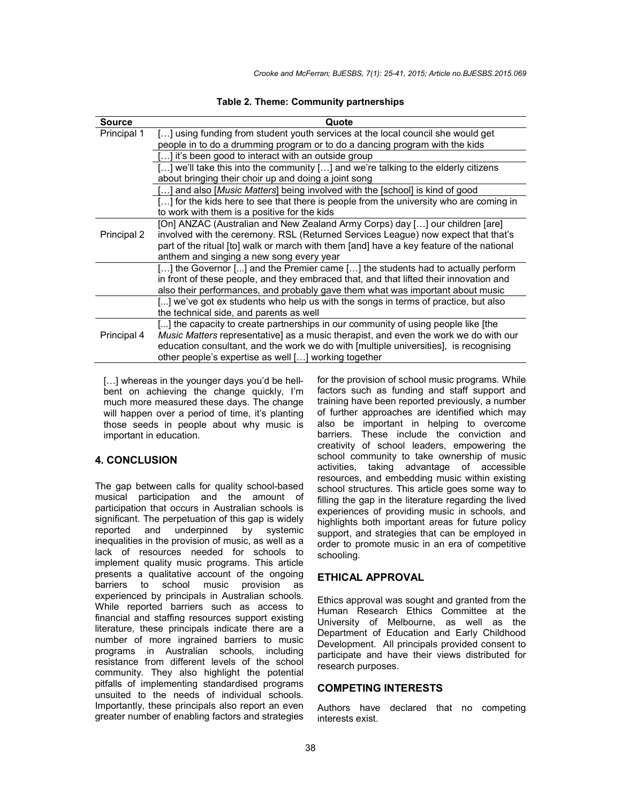| <b>Source</b> | Quote                                                                                       |
|---------------|---------------------------------------------------------------------------------------------|
| Principal 1   | [] using funding from student youth services at the local council she would get             |
|               | people in to do a drumming program or to do a dancing program with the kids                 |
|               | [] it's been good to interact with an outside group                                         |
|               | [] we'll take this into the community [] and we're talking to the elderly citizens          |
|               | about bringing their choir up and doing a joint song                                        |
|               | [] and also [Music Matters] being involved with the [school] is kind of good                |
|               | [] for the kids here to see that there is people from the university who are coming in      |
|               | to work with them is a positive for the kids                                                |
|               | [On] ANZAC (Australian and New Zealand Army Corps) day [] our children [are]                |
| Principal 2   | involved with the ceremony. RSL (Returned Services League) now expect that that's           |
|               | part of the ritual [to] walk or march with them [and] have a key feature of the national    |
|               | anthem and singing a new song every year                                                    |
|               | [] the Governor [] and the Premier came [] the students had to actually perform             |
|               | in front of these people, and they embraced that, and that lifted their innovation and      |
|               | also their performances, and probably gave them what was important about music              |
|               | [] we've got ex students who help us with the songs in terms of practice, but also          |
|               | the technical side, and parents as well                                                     |
|               | [] the capacity to create partnerships in our community of using people like [the           |
| Principal 4   | <i>Music Matters</i> representative] as a music therapist, and even the work we do with our |
|               | education consultant, and the work we do with [multiple universities], is recognising       |
|               | other people's expertise as well [] working together                                        |

**Table 2. Theme: Community partnerships**

[...] whereas in the younger days you'd be hellbent on achieving the change quickly, I'm much more measured these days. The change will happen over a period of time, it's planting those seeds in people about why music is important in education.

## **4. CONCLUSION**

The gap between calls for quality school-based musical participation and the amount of participation that occurs in Australian schools is significant. The perpetuation of this gap is widely reported and underpinned by systemic inequalities in the provision of music, as well as a lack of resources needed for schools to implement quality music programs. This article presents a qualitative account of the ongoing barriers to school music provision as experienced by principals in Australian schools. While reported barriers such as access to financial and staffing resources support existing literature, these principals indicate there are a number of more ingrained barriers to music programs in Australian schools, including resistance from different levels of the school community. They also highlight the potential pitfalls of implementing standardised programs unsuited to the needs of individual schools. Importantly, these principals also report an even greater number of enabling factors and strategies for the provision of school music programs. While factors such as funding and staff support and training have been reported previously, a number of further approaches are identified which may also be important in helping to overcome barriers. These include the conviction and creativity of school leaders, empowering the school community to take ownership of music activities, taking advantage of accessible resources, and embedding music within existing school structures. This article goes some way to filling the gap in the literature regarding the lived experiences of providing music in schools, and highlights both important areas for future policy support, and strategies that can be employed in order to promote music in an era of competitive schooling.

#### **ETHICAL APPROVAL**

Ethics approval was sought and granted from the Human Research Ethics Committee at the University of Melbourne, as well as the Department of Education and Early Childhood Development. All principals provided consent to participate and have their views distributed for research purposes.

## **COMPETING INTERESTS**

Authors have declared that no competing interests exist.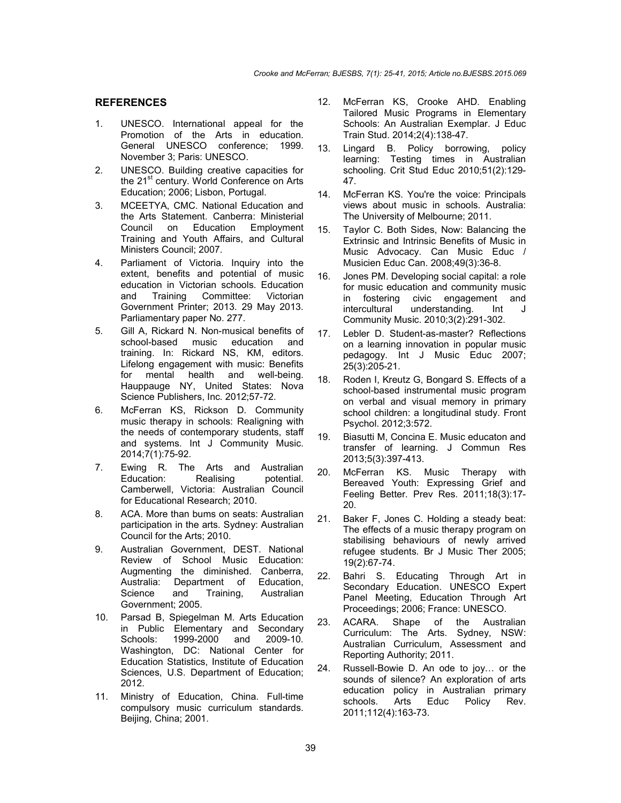## **REFERENCES**

- 1. UNESCO. International appeal for the Promotion of the Arts in education. General UNESCO conference; 1999. November 3; Paris: UNESCO.
- 2. UNESCO. Building creative capacities for the 21<sup>st</sup> century. World Conference on Arts Education; 2006; Lisbon, Portugal.
- 3. MCEETYA, CMC. National Education and the Arts Statement. Canberra: Ministerial<br>Council on Education Employment on Education Employment Training and Youth Affairs, and Cultural Ministers Council; 2007.
- 4. Parliament of Victoria. Inquiry into the extent, benefits and potential of music education in Victorian schools. Education and Training Committee: Victorian Government Printer; 2013. 29 May 2013. Parliamentary paper No. 277.
- 5. Gill A, Rickard N. Non-musical benefits of school-based music education and training. In: Rickard NS, KM, editors. Lifelong engagement with music: Benefits for mental health and well-being. Hauppauge NY, United States: Nova Science Publishers, Inc. 2012;57-72.
- 6. McFerran KS, Rickson D. Community music therapy in schools: Realigning with the needs of contemporary students, staff and systems. Int J Community Music. 2014;7(1):75-92.
- 7. Ewing R. The Arts and Australian Education: Realising potential. Camberwell, Victoria: Australian Council for Educational Research; 2010.
- 8. ACA. More than bums on seats: Australian participation in the arts. Sydney: Australian Council for the Arts; 2010.
- 9. Australian Government, DEST. National Review of School Music Education: Augmenting the diminished. Canberra, Australia: Department of Education,<br>Science and Training. Australian and Training, Australian Government; 2005.
- 10. Parsad B, Spiegelman M. Arts Education in Public Elementary and Secondary Schools: 1999-2000 and 2009-10. Washington, DC: National Center for Education Statistics, Institute of Education Sciences, U.S. Department of Education; 2012.
- 11. Ministry of Education, China. Full-time compulsory music curriculum standards. Beijing, China; 2001.
- 12. McFerran KS, Crooke AHD. Enabling Tailored Music Programs in Elementary Schools: An Australian Exemplar. J Educ Train Stud. 2014;2(4):138-47.
- 13. Lingard B. Policy borrowing, policy learning: Testing times in Australian schooling. Crit Stud Educ 2010;51(2):129- 47.
- 14. McFerran KS. You're the voice: Principals views about music in schools. Australia: The University of Melbourne; 2011.
- 15. Taylor C. Both Sides, Now: Balancing the Extrinsic and Intrinsic Benefits of Music in Music Advocacy. Can Music Educ / Musicien Educ Can. 2008;49(3):36-8.
- 16. Jones PM. Developing social capital: a role for music education and community music in fostering civic engagement and<br>intercultural understanding. Int J understanding. Int J Community Music. 2010;3(2):291-302.
- 17. Lebler D. Student-as-master? Reflections on a learning innovation in popular music pedagogy. Int J Music Educ 2007; 25(3):205-21.
- 18. Roden I, Kreutz G, Bongard S. Effects of a school-based instrumental music program on verbal and visual memory in primary school children: a longitudinal study. Front Psychol. 2012;3:572.
- 19. Biasutti M, Concina E. Music educaton and transfer of learning. J Commun Res 2013;5(3):397-413.
- 20. McFerran KS. Music Therapy with Bereaved Youth: Expressing Grief and Feeling Better. Prev Res. 2011;18(3):17- 20.
- 21. Baker F, Jones C. Holding a steady beat: The effects of a music therapy program on stabilising behaviours of newly arrived refugee students. Br J Music Ther 2005; 19(2):67-74.
- 22. Bahri S. Educating Through Art in Secondary Education. UNESCO Expert Panel Meeting, Education Through Art Proceedings; 2006; France: UNESCO.
- 23. ACARA. Shape of the Australian Curriculum: The Arts. Sydney, NSW: Australian Curriculum, Assessment and Reporting Authority; 2011.
- 24. Russell-Bowie D. An ode to joy… or the sounds of silence? An exploration of arts education policy in Australian primary<br>schools. Arts Educ Policy Rev. Policy Rev. 2011;112(4):163-73.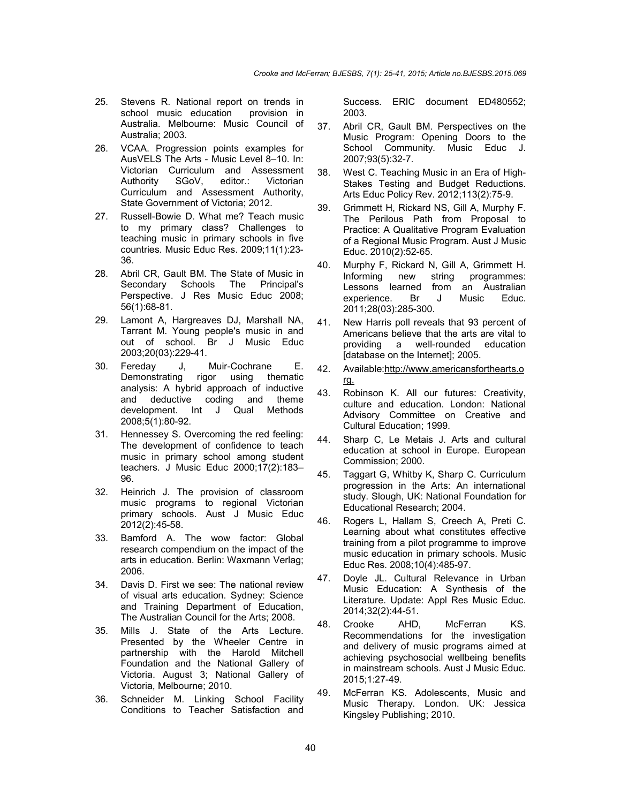- 25. Stevens R. National report on trends in school music education provision in Australia. Melbourne: Music Council of Australia; 2003.
- 26. VCAA. Progression points examples for AusVELS The Arts - Music Level 8–10. In: Victorian Curriculum and Assessment Authority SGoV, editor.: Victorian Curriculum and Assessment Authority, State Government of Victoria; 2012.
- 27. Russell-Bowie D. What me? Teach music to my primary class? Challenges to teaching music in primary schools in five countries. Music Educ Res. 2009;11(1):23- 36.
- 28. Abril CR, Gault BM. The State of Music in Secondary Schools The Principal's Perspective. J Res Music Educ 2008; 56(1):68-81.
- 29. Lamont A, Hargreaves DJ, Marshall NA, Tarrant M. Young people's music in and out of school. Br J Music Educ 2003;20(03):229-41.
- 30. Fereday J, Muir-Cochrane E. Demonstrating rigor using thematic analysis: A hybrid approach of inductive and deductive coding and theme development. Int J Qual Methods 2008;5(1):80-92.
- 31. Hennessey S. Overcoming the red feeling: The development of confidence to teach music in primary school among student teachers. J Music Educ 2000;17(2):183– 96.
- 32. Heinrich J. The provision of classroom music programs to regional Victorian primary schools. Aust J Music Educ 2012(2):45-58.
- 33. Bamford A. The wow factor: Global research compendium on the impact of the arts in education. Berlin: Waxmann Verlag; 2006.
- 34. Davis D. First we see: The national review of visual arts education. Sydney: Science and Training Department of Education, The Australian Council for the Arts; 2008.
- 35. Mills J. State of the Arts Lecture. Presented by the Wheeler Centre in partnership with the Harold Mitchell Foundation and the National Gallery of Victoria. August 3; National Gallery of Victoria, Melbourne; 2010.
- 36. Schneider M. Linking School Facility Conditions to Teacher Satisfaction and

Success. ERIC document ED480552; 2003.

- 37. Abril CR, Gault BM. Perspectives on the Music Program: Opening Doors to the School Community. Music Educ J. 2007;93(5):32-7.
- 38. West C. Teaching Music in an Era of High-Stakes Testing and Budget Reductions. Arts Educ Policy Rev. 2012;113(2):75-9.
- 39. Grimmett H, Rickard NS, Gill A, Murphy F. The Perilous Path from Proposal to Practice: A Qualitative Program Evaluation of a Regional Music Program. Aust J Music Educ. 2010(2):52-65.
- 40. Murphy F, Rickard N, Gill A, Grimmett H. Informing new string programmes: Lessons learned from an Australian experience. Br J Music Educ. 2011;28(03):285-300.
- 41. New Harris poll reveals that 93 percent of Americans believe that the arts are vital to providing a well-rounded education [database on the Internet]; 2005.
- 42. Available:http://www.americansforthearts.o rg.
- 43. Robinson K. All our futures: Creativity, culture and education. London: National Advisory Committee on Creative and Cultural Education; 1999.
- 44. Sharp C, Le Metais J. Arts and cultural education at school in Europe. European Commission; 2000.
- 45. Taggart G, Whitby K, Sharp C. Curriculum progression in the Arts: An international study. Slough, UK: National Foundation for Educational Research; 2004.
- 46. Rogers L, Hallam S, Creech A, Preti C. Learning about what constitutes effective training from a pilot programme to improve music education in primary schools. Music Educ Res. 2008;10(4):485-97.
- 47. Doyle JL. Cultural Relevance in Urban Music Education: A Synthesis of the Literature. Update: Appl Res Music Educ. 2014;32(2):44-51.
- 48. Crooke AHD, McFerran KS. Recommendations for the investigation and delivery of music programs aimed at achieving psychosocial wellbeing benefits in mainstream schools. Aust J Music Educ. 2015;1:27-49.
- 49. McFerran KS. Adolescents, Music and Music Therapy. London. UK: Jessica Kingsley Publishing; 2010.